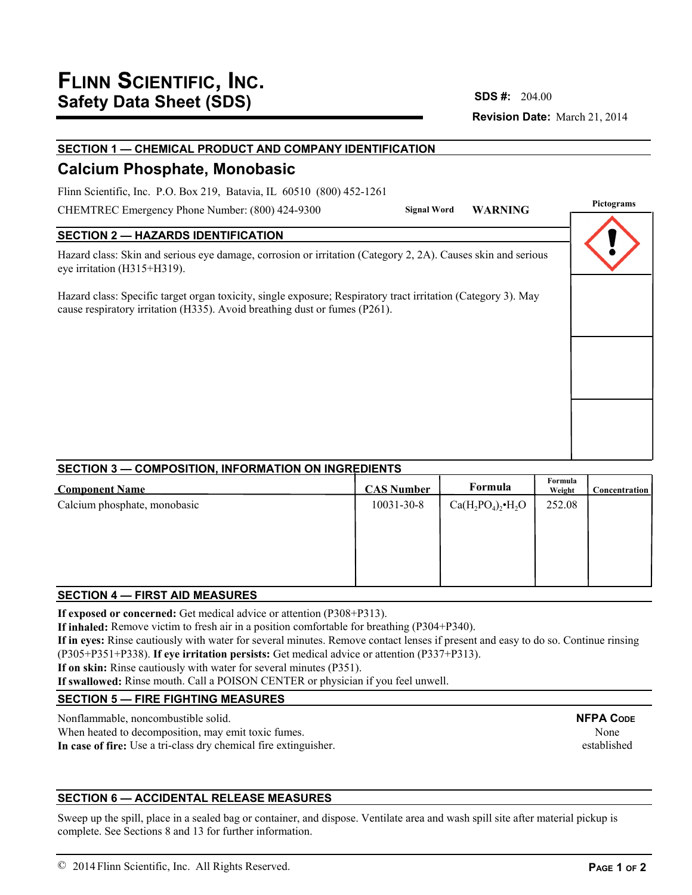## **Revision Date:** March 21, 2014 **SDS #:**

## **SECTION 1 — CHEMICAL PRODUCT AND COMPANY IDENTIFICATION**

# **Calcium Phosphate, Monobasic**

Flinn Scientific, Inc. P.O. Box 219, Batavia, IL 60510 (800) 452-1261

CHEMTREC Emergency Phone Number: (800) 424-9300

## **SECTION 2 — HAZARDS IDENTIFICATION**

Hazard class: Skin and serious eye damage, corrosion or irritation (Category 2, 2A). Causes skin and serious eye irritation (H315+H319).

Hazard class: Specific target organ toxicity, single exposure; Respiratory tract irritation (Category 3). May cause respiratory irritation (H335). Avoid breathing dust or fumes (P261).



## **SECTION 3 — COMPOSITION, INFORMATION ON INGREDIENTS**

| <b>Component Name</b>        | <b>CAS Number</b> | Formula                     | Formula<br>Weight | <b>Concentration</b> |
|------------------------------|-------------------|-----------------------------|-------------------|----------------------|
| Calcium phosphate, monobasic | 10031-30-8        | $Ca(H_2PO_4)_2\bullet H_2O$ | 252.08            |                      |
|                              |                   |                             |                   |                      |
|                              |                   |                             |                   |                      |
|                              |                   |                             |                   |                      |
|                              |                   |                             |                   |                      |

## **SECTION 4 — FIRST AID MEASURES**

**If exposed or concerned:** Get medical advice or attention (P308+P313).

**If inhaled:** Remove victim to fresh air in a position comfortable for breathing (P304+P340).

**If in eyes:** Rinse cautiously with water for several minutes. Remove contact lenses if present and easy to do so. Continue rinsing (P305+P351+P338). **If eye irritation persists:** Get medical advice or attention (P337+P313).

**If on skin:** Rinse cautiously with water for several minutes (P351).

**If swallowed:** Rinse mouth. Call a POISON CENTER or physician if you feel unwell.

## **SECTION 5 — FIRE FIGHTING MEASURES**

Nonflammable, noncombustible solid.

When heated to decomposition, may emit toxic fumes. **In case of fire:** Use a tri-class dry chemical fire extinguisher.

## **SECTION 6 — ACCIDENTAL RELEASE MEASURES**

Sweep up the spill, place in a sealed bag or container, and dispose. Ventilate area and wash spill site after material pickup is complete. See Sections 8 and 13 for further information.

None established

**NFPA CODE**